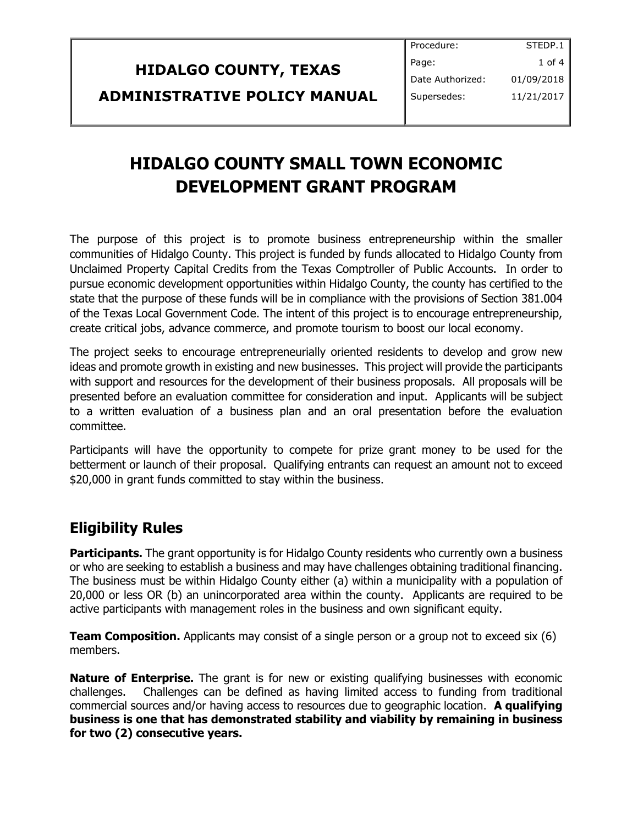#### **HIDALGO COUNTY, TEXAS ADMINISTRATIVE POLICY MANUAL** Procedure: Page: Date Authorized: Supersedes: STEDP.1 1 of 4 01/09/2018 11/21/2017

# **HIDALGO COUNTY SMALL TOWN ECONOMIC DEVELOPMENT GRANT PROGRAM**

The purpose of this project is to promote business entrepreneurship within the smaller communities of Hidalgo County. This project is funded by funds allocated to Hidalgo County from Unclaimed Property Capital Credits from the Texas Comptroller of Public Accounts. In order to pursue economic development opportunities within Hidalgo County, the county has certified to the state that the purpose of these funds will be in compliance with the provisions of Section 381.004 of the Texas Local Government Code. The intent of this project is to encourage entrepreneurship, create critical jobs, advance commerce, and promote tourism to boost our local economy.

The project seeks to encourage entrepreneurially oriented residents to develop and grow new ideas and promote growth in existing and new businesses. This project will provide the participants with support and resources for the development of their business proposals. All proposals will be presented before an evaluation committee for consideration and input. Applicants will be subject to a written evaluation of a business plan and an oral presentation before the evaluation committee.

Participants will have the opportunity to compete for prize grant money to be used for the betterment or launch of their proposal. Qualifying entrants can request an amount not to exceed \$20,000 in grant funds committed to stay within the business.

# **Eligibility Rules**

**Participants.** The grant opportunity is for Hidalgo County residents who currently own a business or who are seeking to establish a business and may have challenges obtaining traditional financing. The business must be within Hidalgo County either (a) within a municipality with a population of 20,000 or less OR (b) an unincorporated area within the county. Applicants are required to be active participants with management roles in the business and own significant equity.

**Team Composition.** Applicants may consist of a single person or a group not to exceed six (6) members.

**Nature of Enterprise.** The grant is for new or existing qualifying businesses with economic challenges. Challenges can be defined as having limited access to funding from traditional commercial sources and/or having access to resources due to geographic location. **A qualifying business is one that has demonstrated stability and viability by remaining in business for two (2) consecutive years.**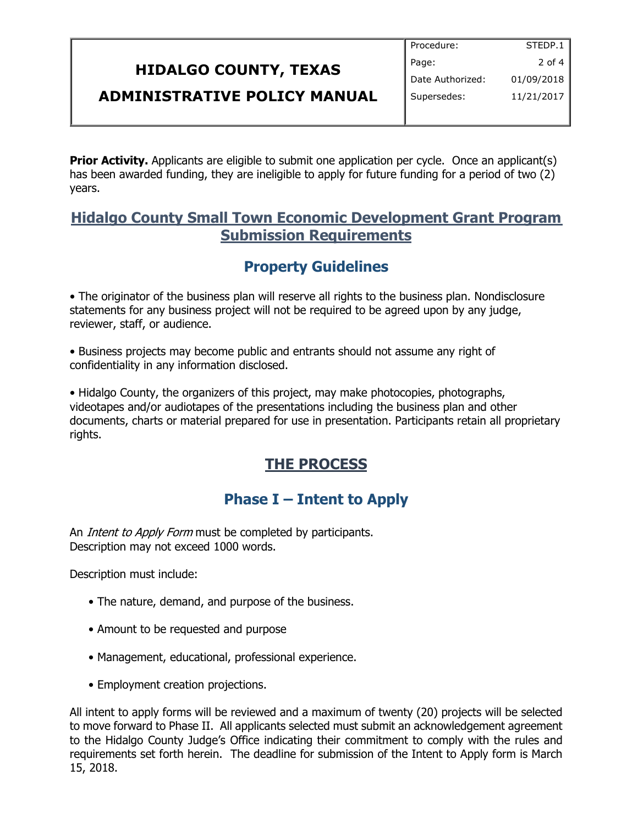# **HIDALGO COUNTY, TEXAS**

| STEDP.1    |
|------------|
| $2$ of 4   |
| 01/09/2018 |
| 11/21/2017 |
|            |

#### **ADMINISTRATIVE POLICY MANUAL**

**Prior Activity.** Applicants are eligible to submit one application per cycle. Once an applicant(s) has been awarded funding, they are ineligible to apply for future funding for a period of two (2) years.

#### **Hidalgo County Small Town Economic Development Grant Program Submission Requirements**

### **Property Guidelines**

• The originator of the business plan will reserve all rights to the business plan. Nondisclosure statements for any business project will not be required to be agreed upon by any judge, reviewer, staff, or audience.

• Business projects may become public and entrants should not assume any right of confidentiality in any information disclosed.

• Hidalgo County, the organizers of this project, may make photocopies, photographs, videotapes and/or audiotapes of the presentations including the business plan and other documents, charts or material prepared for use in presentation. Participants retain all proprietary rights.

# **THE PROCESS**

# **Phase I – Intent to Apply**

An *Intent to Apply Form* must be completed by participants. Description may not exceed 1000 words.

Description must include:

- The nature, demand, and purpose of the business.
- Amount to be requested and purpose
- Management, educational, professional experience.
- Employment creation projections.

All intent to apply forms will be reviewed and a maximum of twenty (20) projects will be selected to move forward to Phase II. All applicants selected must submit an acknowledgement agreement to the Hidalgo County Judge's Office indicating their commitment to comply with the rules and requirements set forth herein. The deadline for submission of the Intent to Apply form is March 15, 2018.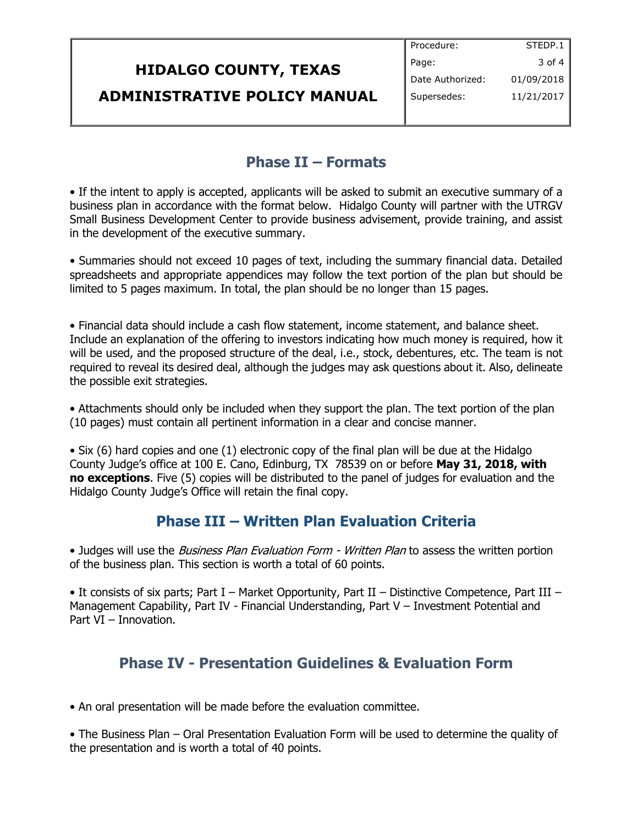|                                     | Procedure:       | STEDP.1        |
|-------------------------------------|------------------|----------------|
| <b>HIDALGO COUNTY, TEXAS</b>        | Page:            | 3 of 4 $\vert$ |
|                                     | Date Authorized: | 01/09/2018     |
| <b>ADMINISTRATIVE POLICY MANUAL</b> | Supersedes:      | 11/21/2017     |
|                                     |                  |                |

#### **Phase II – Formats**

• If the intent to apply is accepted, applicants will be asked to submit an executive summary of a business plan in accordance with the format below. Hidalgo County will partner with the UTRGV Small Business Development Center to provide business advisement, provide training, and assist in the development of the executive summary.

• Summaries should not exceed 10 pages of text, including the summary financial data. Detailed spreadsheets and appropriate appendices may follow the text portion of the plan but should be limited to 5 pages maximum. In total, the plan should be no longer than 15 pages.

• Financial data should include a cash flow statement, income statement, and balance sheet. Include an explanation of the offering to investors indicating how much money is required, how it will be used, and the proposed structure of the deal, i.e., stock, debentures, etc. The team is not required to reveal its desired deal, although the judges may ask questions about it. Also, delineate the possible exit strategies.

• Attachments should only be included when they support the plan. The text portion of the plan (10 pages) must contain all pertinent information in a clear and concise manner.

• Six (6) hard copies and one (1) electronic copy of the final plan will be due at the Hidalgo County Judge's office at 100 E. Cano, Edinburg, TX 78539 on or before **May 31, 2018, with no exceptions**. Five (5) copies will be distributed to the panel of judges for evaluation and the Hidalgo County Judge's Office will retain the final copy.

#### **Phase III – Written Plan Evaluation Criteria**

• Judges will use the *Business Plan Evaluation Form - Written Plan* to assess the written portion of the business plan. This section is worth a total of 60 points.

• It consists of six parts; Part I – Market Opportunity, Part II – Distinctive Competence, Part III – Management Capability, Part IV - Financial Understanding, Part V – Investment Potential and Part VI – Innovation.

# **Phase IV - Presentation Guidelines & Evaluation Form**

• An oral presentation will be made before the evaluation committee.

• The Business Plan – Oral Presentation Evaluation Form will be used to determine the quality of the presentation and is worth a total of 40 points.